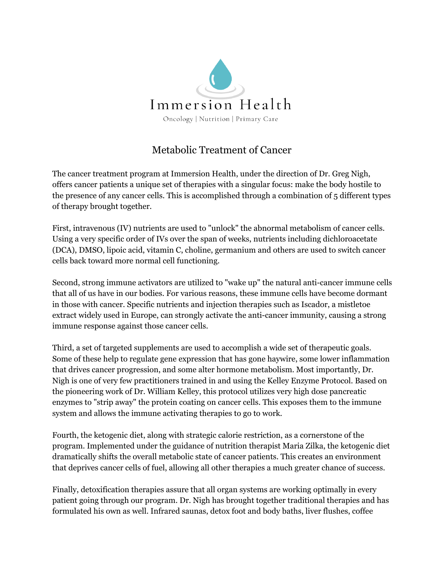

## Metabolic Treatment of Cancer

The cancer treatment program at Immersion Health, under the direction of Dr. Greg Nigh, offers cancer patients a unique set of therapies with a singular focus: make the body hostile to the presence of any cancer cells. This is accomplished through a combination of 5 different types of therapy brought together.

First, intravenous (IV) nutrients are used to "unlock" the abnormal metabolism of cancer cells. Using a very specific order of IVs over the span of weeks, nutrients including dichloroacetate (DCA), DMSO, lipoic acid, vitamin C, choline, germanium and others are used to switch cancer cells back toward more normal cell functioning.

Second, strong immune activators are utilized to "wake up" the natural anti-cancer immune cells that all of us have in our bodies. For various reasons, these immune cells have become dormant in those with cancer. Specific nutrients and injection therapies such as Iscador, a mistletoe extract widely used in Europe, can strongly activate the anti-cancer immunity, causing a strong immune response against those cancer cells.

Third, a set of targeted supplements are used to accomplish a wide set of therapeutic goals. Some of these help to regulate gene expression that has gone haywire, some lower inflammation that drives cancer progression, and some alter hormone metabolism. Most importantly, Dr. Nigh is one of very few practitioners trained in and using the Kelley Enzyme Protocol. Based on the pioneering work of Dr. William Kelley, this protocol utilizes very high dose pancreatic enzymes to "strip away" the protein coating on cancer cells. This exposes them to the immune system and allows the immune activating therapies to go to work.

Fourth, the ketogenic diet, along with strategic calorie restriction, as a cornerstone of the program. Implemented under the guidance of nutrition therapist Maria Zilka, the ketogenic diet dramatically shifts the overall metabolic state of cancer patients. This creates an environment that deprives cancer cells of fuel, allowing all other therapies a much greater chance of success.

Finally, detoxification therapies assure that all organ systems are working optimally in every patient going through our program. Dr. Nigh has brought together traditional therapies and has formulated his own as well. Infrared saunas, detox foot and body baths, liver flushes, coffee